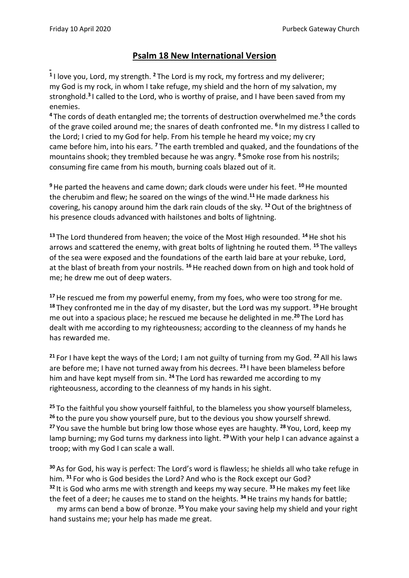## **Psalm 18 New International Version**

**1** I love you, Lord, my strength. **<sup>2</sup>** The Lord is my rock, my fortress and my deliverer; my God is my rock, in whom I take refuge, my shield and the horn of my salvation, my stronghold.**<sup>3</sup>** I called to the Lord, who is worthy of praise, and I have been saved from my enemies.

**<sup>4</sup>** The cords of death entangled me; the torrents of destruction overwhelmed me.**<sup>5</sup>** the cords of the grave coiled around me; the snares of death confronted me. **<sup>6</sup>** In my distress I called to the Lord; I cried to my God for help. From his temple he heard my voice; my cry came before him, into his ears. **<sup>7</sup>** The earth trembled and quaked, and the foundations of the mountains shook; they trembled because he was angry. **<sup>8</sup>** Smoke rose from his nostrils; consuming fire came from his mouth, burning coals blazed out of it.

**<sup>9</sup>**He parted the heavens and came down; dark clouds were under his feet. **<sup>10</sup>**He mounted the cherubim and flew; he soared on the wings of the wind.**<sup>11</sup>**He made darkness his covering, his canopy around him the dark rain clouds of the sky. **<sup>12</sup>**Out of the brightness of his presence clouds advanced with hailstones and bolts of lightning.

**<sup>13</sup>** The Lord thundered from heaven; the voice of the Most High resounded. **<sup>14</sup>**He shot his arrows and scattered the enemy, with great bolts of lightning he routed them. **<sup>15</sup>** The valleys of the sea were exposed and the foundations of the earth laid bare at your rebuke, Lord, at the blast of breath from your nostrils. **<sup>16</sup>**He reached down from on high and took hold of me; he drew me out of deep waters.

**<sup>17</sup>**He rescued me from my powerful enemy, from my foes, who were too strong for me. **<sup>18</sup>** They confronted me in the day of my disaster, but the Lord was my support. **<sup>19</sup>**He brought me out into a spacious place; he rescued me because he delighted in me.**<sup>20</sup>** The Lord has dealt with me according to my righteousness; according to the cleanness of my hands he has rewarded me.

**<sup>21</sup>** For I have kept the ways of the Lord; I am not guilty of turning from my God. **<sup>22</sup>** All his laws are before me; I have not turned away from his decrees. **<sup>23</sup>** I have been blameless before him and have kept myself from sin. **<sup>24</sup>** The Lord has rewarded me according to my righteousness, according to the cleanness of my hands in his sight.

<sup>25</sup> To the faithful you show yourself faithful, to the blameless you show yourself blameless, **<sup>26</sup>** to the pure you show yourself pure, but to the devious you show yourself shrewd. **<sup>27</sup>** You save the humble but bring low those whose eyes are haughty. **<sup>28</sup>** You, Lord, keep my lamp burning; my God turns my darkness into light. **<sup>29</sup>** With your help I can advance against a troop; with my God I can scale a wall.

**<sup>30</sup>** As for God, his way is perfect: The Lord's word is flawless; he shields all who take refuge in him. **<sup>31</sup>** For who is God besides the Lord? And who is the Rock except our God? **<sup>32</sup>** It is God who arms me with strength and keeps my way secure. **<sup>33</sup>**He makes my feet like the feet of a deer; he causes me to stand on the heights. **<sup>34</sup>**He trains my hands for battle;

 my arms can bend a bow of bronze. **<sup>35</sup>** You make your saving help my shield and your right hand sustains me; your help has made me great.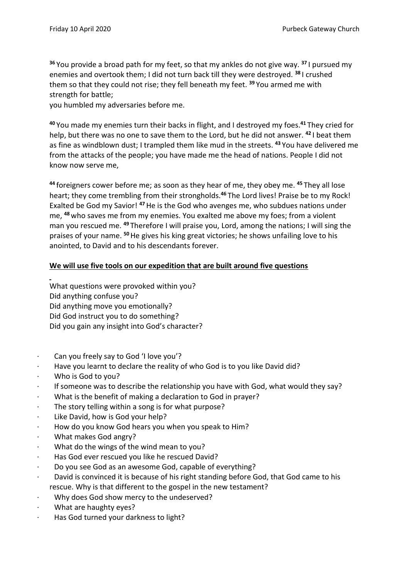**<sup>36</sup>** You provide a broad path for my feet, so that my ankles do not give way. **<sup>37</sup>** I pursued my enemies and overtook them; I did not turn back till they were destroyed. **<sup>38</sup>** I crushed them so that they could not rise; they fell beneath my feet. **<sup>39</sup>** You armed me with strength for battle;

you humbled my adversaries before me.

**<sup>40</sup>** You made my enemies turn their backs in flight, and I destroyed my foes.**<sup>41</sup>** They cried for help, but there was no one to save them to the Lord, but he did not answer. **<sup>42</sup>** I beat them as fine as windblown dust; I trampled them like mud in the streets. **<sup>43</sup>** You have delivered me from the attacks of the people; you have made me the head of nations. People I did not know now serve me,

**<sup>44</sup>** foreigners cower before me; as soon as they hear of me, they obey me. **<sup>45</sup>** They all lose heart; they come trembling from their strongholds.**<sup>46</sup>** The Lord lives! Praise be to my Rock! Exalted be God my Savior! **<sup>47</sup>**He is the God who avenges me, who subdues nations under me, **<sup>48</sup>**who saves me from my enemies. You exalted me above my foes; from a violent man you rescued me. **<sup>49</sup>** Therefore I will praise you, Lord, among the nations; I will sing the praises of your name. **<sup>50</sup>**He gives his king great victories; he shows unfailing love to his anointed, to David and to his descendants forever.

## **We will use five tools on our expedition that are built around five questions**

What questions were provoked within you? Did anything confuse you? Did anything move you emotionally? Did God instruct you to do something? Did you gain any insight into God's character?

- · Can you freely say to God 'I love you'?
- Have you learnt to declare the reality of who God is to you like David did?
- · Who is God to you?
- If someone was to describe the relationship you have with God, what would they say?
- What is the benefit of making a declaration to God in prayer?
- The story telling within a song is for what purpose?
- Like David, how is God your help?
- How do you know God hears you when you speak to Him?
- · What makes God angry?
- What do the wings of the wind mean to you?
- Has God ever rescued you like he rescued David?
- · Do you see God as an awesome God, capable of everything?
- David is convinced it is because of his right standing before God, that God came to his rescue. Why is that different to the gospel in the new testament?
- Why does God show mercy to the undeserved?
- What are haughty eyes?
- · Has God turned your darkness to light?